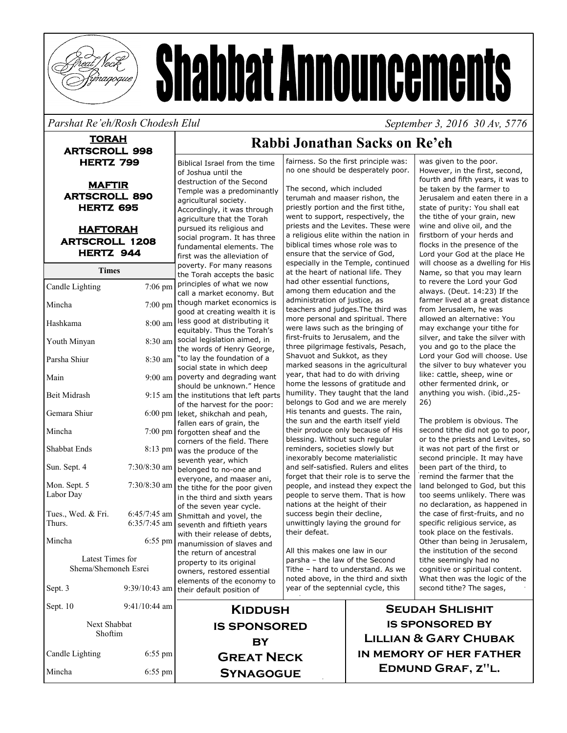

# **Shabbat Announcements**

### *Parshat Re'eh/Rosh Chodesh Elul*

**TORAH ARTSCROLL 998 HERTZ 799** 

**MAFTIR ARTSCROLL 890 HERTZ 695** 

**HAFTORAH ARTSCROLL 1208 HERTZ 944** 

**Times**

| Candle Lighting                          | $7:06$ pm         |  |
|------------------------------------------|-------------------|--|
| Mincha                                   | $7:00 \text{ pm}$ |  |
| Hashkama                                 | $8:00$ am         |  |
| Youth Minyan                             | 8:30 am           |  |
| Parsha Shiur                             | 8:30 am           |  |
| Main                                     | $9:00$ am         |  |
| <b>Beit Midrash</b>                      | $9:15$ am         |  |
| Gemara Shiur                             | $6:00 \text{ pm}$ |  |
| Mincha                                   | 7:00 pm           |  |
| <b>Shabbat Ends</b>                      | $8:13$ pm         |  |
| Sun. Sept. 4                             | $7:30/8:30$ am    |  |
| Mon. Sept. 5<br>Labor Day                | 7:30/8:30 am      |  |
| Tues., Wed. & Fri.                       | $6:45/7:45$ am    |  |
| Thurs.                                   | 6:35/7:45 am      |  |
| Mincha                                   | $6:55$ pm         |  |
| Latest Times for<br>Shema/Shemoneh Esrei |                   |  |
| Sept. 3                                  | $9:39/10:43$ am   |  |
| Sept. 10                                 | $9:41/10:44$ am   |  |
| <b>Next Shabbat</b><br>Shoftim           |                   |  |
| Candle Lighting                          | 6:55 pm           |  |

Mincha 6:55 pm

Biblical Israel from the time of Joshua until the destruction of the Second Temple was a predominantly agricultural society. Accordingly, it was through agriculture that the Torah pursued its religious and social program. It has three fundamental elements. The first was the alleviation of poverty. For many reasons the Torah accepts the basic principles of what we now call a market economy. But though market economics is good at creating wealth it is less good at distributing it equitably. Thus the Torah's social legislation aimed, in the words of Henry George, "to lay the foundation of a social state in which deep poverty and degrading want should be unknown." Hence the institutions that left parts of the harvest for the poor: leket, shikchah and peah, fallen ears of grain, the forgotten sheaf and the corners of the field. There was the produce of the seventh year, which belonged to no-one and everyone, and maaser ani, the tithe for the poor given in the third and sixth years of the seven year cycle. Shmittah and yovel, the seventh and fiftieth years with their release of debts, manumission of slaves and the return of ancestral property to its original owners, restored essential elements of the economy to their default position of

### **Rabbi Jonathan Sacks on Re'eh**

fairness. So the first principle was: no one should be desperately poor.

The second, which included terumah and maaser rishon, the priestly portion and the first tithe, went to support, respectively, the priests and the Levites. These were a religious elite within the nation in biblical times whose role was to ensure that the service of God, especially in the Temple, continued at the heart of national life. They had other essential functions, among them education and the administration of justice, as teachers and judges.The third was more personal and spiritual. There were laws such as the bringing of first-fruits to Jerusalem, and the three pilgrimage festivals, Pesach, Shavuot and Sukkot, as they marked seasons in the agricultural year, that had to do with driving home the lessons of gratitude and humility. They taught that the land belongs to God and we are merely His tenants and guests. The rain, the sun and the earth itself yield their produce only because of His blessing. Without such regular reminders, societies slowly but inexorably become materialistic and self-satisfied. Rulers and elites forget that their role is to serve the people, and instead they expect the people to serve them. That is how nations at the height of their success begin their decline, unwittingly laying the ground for their defeat.

All this makes one law in our parsha – the law of the Second Tithe – hard to understand. As we noted above, in the third and sixth year of the septennial cycle, this

was given to the poor. However, in the first, second, fourth and fifth years, it was to be taken by the farmer to Jerusalem and eaten there in a state of purity: You shall eat the tithe of your grain, new wine and olive oil, and the firstborn of your herds and flocks in the presence of the Lord your God at the place He will choose as a dwelling for His Name, so that you may learn to revere the Lord your God always. (Deut. 14:23) If the farmer lived at a great distance from Jerusalem, he was allowed an alternative: You may exchange your tithe for silver, and take the silver with you and go to the place the Lord your God will choose. Use the silver to buy whatever you like: cattle, sheep, wine or other fermented drink, or anything you wish. (ibid.,25- 26)

 *September 3, 2016 30 Av, 5776* 

The problem is obvious. The second tithe did not go to poor, or to the priests and Levites, so it was not part of the first or second principle. It may have been part of the third, to remind the farmer that the land belonged to God, but this too seems unlikely. There was no declaration, as happened in the case of first-fruits, and no specific religious service, as took place on the festivals. Other than being in Jerusalem, the institution of the second tithe seemingly had no cognitive or spiritual content. What then was the logic of the second tithe? The sages,

**Seudah Shlishit is sponsored by Lillian & Gary Chubak in memory of her father Edmund Graf, z"l.** 

**Kiddush is sponsored**  BY **Great Neck** 

**Synagogue**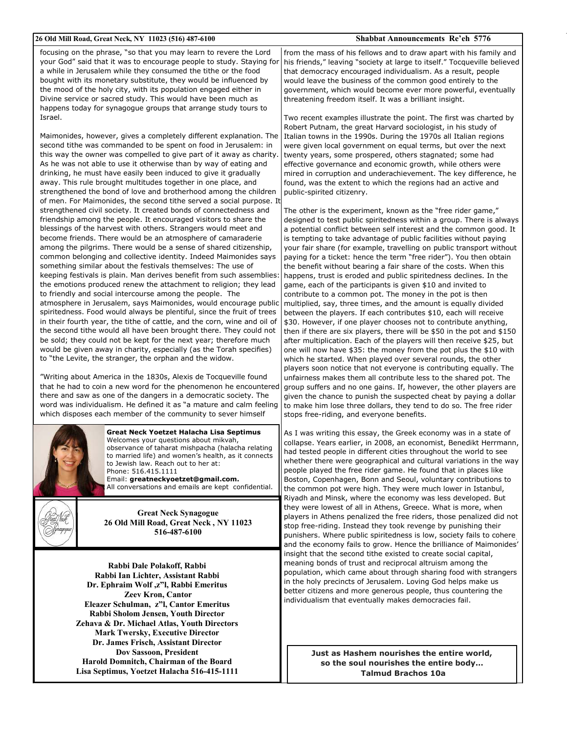#### **26 Old Mill Road, Great Neck, NY 11023 (516) 487-6100 Shabbat Announcements Re'eh 5776**

focusing on the phrase, "so that you may learn to revere the Lord your God" said that it was to encourage people to study. Staying for a while in Jerusalem while they consumed the tithe or the food bought with its monetary substitute, they would be influenced by the mood of the holy city, with its population engaged either in Divine service or sacred study. This would have been much as happens today for synagogue groups that arrange study tours to Israel.

Maimonides, however, gives a completely different explanation. The second tithe was commanded to be spent on food in Jerusalem: in this way the owner was compelled to give part of it away as charity. As he was not able to use it otherwise than by way of eating and drinking, he must have easily been induced to give it gradually away. This rule brought multitudes together in one place, and strengthened the bond of love and brotherhood among the children of men. For Maimonides, the second tithe served a social purpose. It strengthened civil society. It created bonds of connectedness and friendship among the people. It encouraged visitors to share the blessings of the harvest with others. Strangers would meet and become friends. There would be an atmosphere of camaraderie among the pilgrims. There would be a sense of shared citizenship, common belonging and collective identity. Indeed Maimonides says something similar about the festivals themselves: The use of keeping festivals is plain. Man derives benefit from such assemblies: the emotions produced renew the attachment to religion; they lead to friendly and social intercourse among the people. The atmosphere in Jerusalem, says Maimonides, would encourage public spiritedness. Food would always be plentiful, since the fruit of trees in their fourth year, the tithe of cattle, and the corn, wine and oil of the second tithe would all have been brought there. They could not be sold; they could not be kept for the next year; therefore much would be given away in charity, especially (as the Torah specifies) to "the Levite, the stranger, the orphan and the widow.

"Writing about America in the 1830s, Alexis de Tocqueville found that he had to coin a new word for the phenomenon he encountered there and saw as one of the dangers in a democratic society. The word was individualism. He defined it as "a mature and calm feeling which disposes each member of the community to sever himself



**Great Neck Yoetzet Halacha Lisa Septimus**  Welcomes your questions about mikvah, observance of taharat mishpacha (halacha relating to married life) and women's health, as it connects to Jewish law. Reach out to her at: Phone: 516.415.1111 Email: **greatneckyoetzet@gmail.com.**  All conversations and emails are kept confidential.



**Great Neck Synagogue 26 Old Mill Road, Great Neck , NY 11023 516-487-6100**

**Rabbi Dale Polakoff, Rabbi Rabbi Ian Lichter, Assistant Rabbi Dr. Ephraim Wolf ,z"l, Rabbi Emeritus Zeev Kron, Cantor Eleazer Schulman, z"l, Cantor Emeritus Rabbi Sholom Jensen, Youth Director Zehava & Dr. Michael Atlas, Youth Directors Mark Twersky, Executive Director Dr. James Frisch, Assistant Director Dov Sassoon, President Harold Domnitch, Chairman of the Board Lisa Septimus, Yoetzet Halacha 516-415-1111**

from the mass of his fellows and to draw apart with his family and his friends," leaving "society at large to itself." Tocqueville believed that democracy encouraged individualism. As a result, people would leave the business of the common good entirely to the government, which would become ever more powerful, eventually threatening freedom itself. It was a brilliant insight.

Two recent examples illustrate the point. The first was charted by Robert Putnam, the great Harvard sociologist, in his study of Italian towns in the 1990s. During the 1970s all Italian regions were given local government on equal terms, but over the next twenty years, some prospered, others stagnated; some had effective governance and economic growth, while others were mired in corruption and underachievement. The key difference, he found, was the extent to which the regions had an active and public-spirited citizenry.

The other is the experiment, known as the "free rider game," designed to test public spiritedness within a group. There is always a potential conflict between self interest and the common good. It is tempting to take advantage of public facilities without paying your fair share (for example, travelling on public transport without paying for a ticket: hence the term "free rider"). You then obtain the benefit without bearing a fair share of the costs. When this happens, trust is eroded and public spiritedness declines. In the game, each of the participants is given \$10 and invited to contribute to a common pot. The money in the pot is then multiplied, say, three times, and the amount is equally divided between the players. If each contributes \$10, each will receive \$30. However, if one player chooses not to contribute anything, then if there are six players, there will be \$50 in the pot and \$150 after multiplication. Each of the players will then receive \$25, but one will now have \$35: the money from the pot plus the \$10 with which he started. When played over several rounds, the other players soon notice that not everyone is contributing equally. The unfairness makes them all contribute less to the shared pot. The group suffers and no one gains. If, however, the other players are given the chance to punish the suspected cheat by paying a dollar to make him lose three dollars, they tend to do so. The free rider stops free-riding, and everyone benefits.

As I was writing this essay, the Greek economy was in a state of collapse. Years earlier, in 2008, an economist, Benedikt Herrmann, had tested people in different cities throughout the world to see whether there were geographical and cultural variations in the way people played the free rider game. He found that in places like Boston, Copenhagen, Bonn and Seoul, voluntary contributions to the common pot were high. They were much lower in Istanbul, Riyadh and Minsk, where the economy was less developed. But they were lowest of all in Athens, Greece. What is more, when players in Athens penalized the free riders, those penalized did not stop free-riding. Instead they took revenge by punishing their punishers. Where public spiritedness is low, society fails to cohere and the economy fails to grow. Hence the brilliance of Maimonides' insight that the second tithe existed to create social capital, meaning bonds of trust and reciprocal altruism among the population, which came about through sharing food with strangers in the holy precincts of Jerusalem. Loving God helps make us better citizens and more generous people, thus countering the individualism that eventually makes democracies fail.

> **Just as Hashem nourishes the entire world, so the soul nourishes the entire body… Talmud Brachos 10a**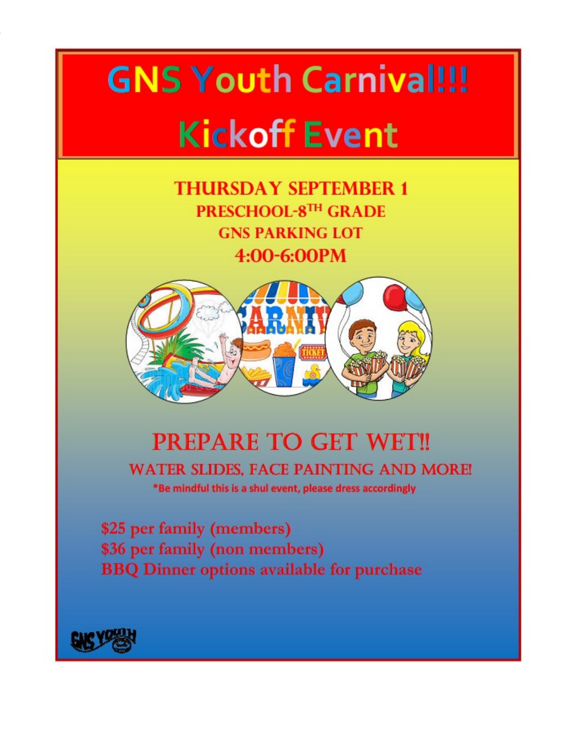## **GNS Youth Carnival!!! Kickoff Event**

**THURSDAY SEPTEMBER 1** PRESCHOOL-8TH GRADE **GNS PARKING LOT** 4:00-6:00PM



### **PREPARE TO GET WET!!**

**WATER SLIDES, FACE PAINTING AND MORE!** 

\*Be mindful this is a shul event, please dress accordingly

\$25 per family (members) \$36 per family (non members) **BBQ Dinner options available for purchase** 

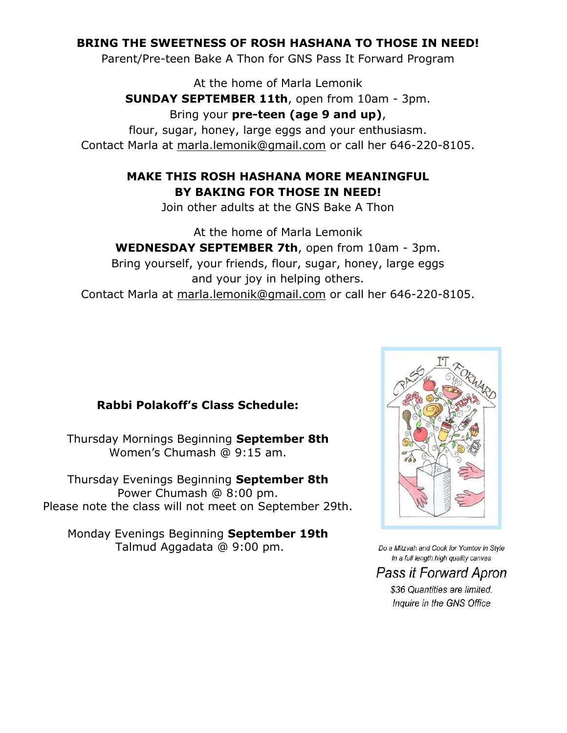### **BRING THE SWEETNESS OF ROSH HASHANA TO THOSE IN NEED!**

Parent/Pre-teen Bake A Thon for GNS Pass It Forward Program

At the home of Marla Lemonik

**SUNDAY SEPTEMBER 11th**, open from 10am - 3pm.

Bring your **pre-teen (age 9 and up)**,

flour, sugar, honey, large eggs and your enthusiasm. Contact Marla at marla.lemonik@gmail.com or call her 646-220-8105.

### **MAKE THIS ROSH HASHANA MORE MEANINGFUL BY BAKING FOR THOSE IN NEED!**

Join other adults at the GNS Bake A Thon

At the home of Marla Lemonik **WEDNESDAY SEPTEMBER 7th**, open from 10am - 3pm. Bring yourself, your friends, flour, sugar, honey, large eggs and your joy in helping others. Contact Marla at marla.lemonik@gmail.com or call her 646-220-8105.

### **Rabbi Polakoff's Class Schedule:**

Thursday Mornings Beginning **September 8th**  Women's Chumash @ 9:15 am.

Thursday Evenings Beginning **September 8th**  Power Chumash @ 8:00 pm. Please note the class will not meet on September 29th.

Monday Evenings Beginning **September 19th**  Talmud Aggadata @ 9:00 pm.



Do a Mitzvah and Cook for Yomtov in Style In a full length high quality canvas

Pass it Forward Apron

\$36 Quantities are limited. Inquire in the GNS Office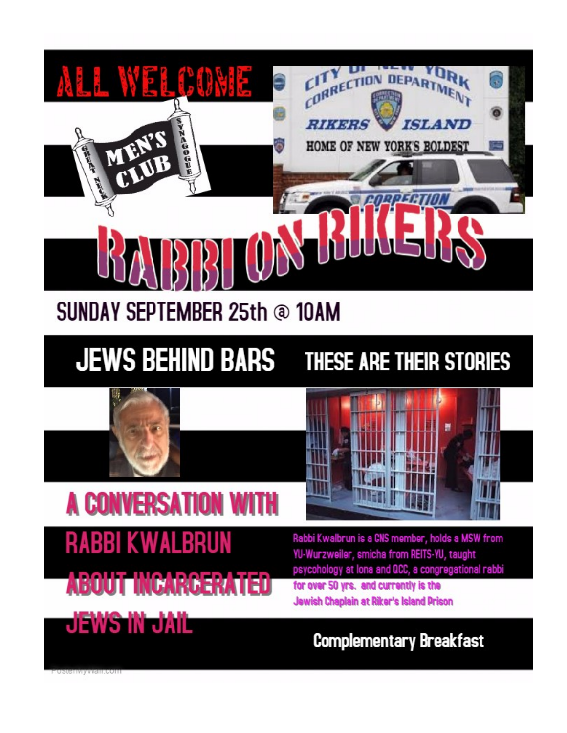

## **SUNDAY SEPTEMBER 25th @ 10AM**

### **JEWS BEHIND BARS** THESE ARE THEIR STORIES



## **A CONVERSATION WITH RABBI KWALBRUN**

**ABOUT INCARCERATED** 

JEWS W JAIL

Rabbi Kwalbrun is a GNS member, holds a MSW from

YU-Wurzweiler, smicha from REITS-YU, taught psycohology at lona and QCC, a congregational rabbi for over 50 yrs. and currently is the Jewish Chaplain at Riker's Island Prison

### **Complementary Breakfast**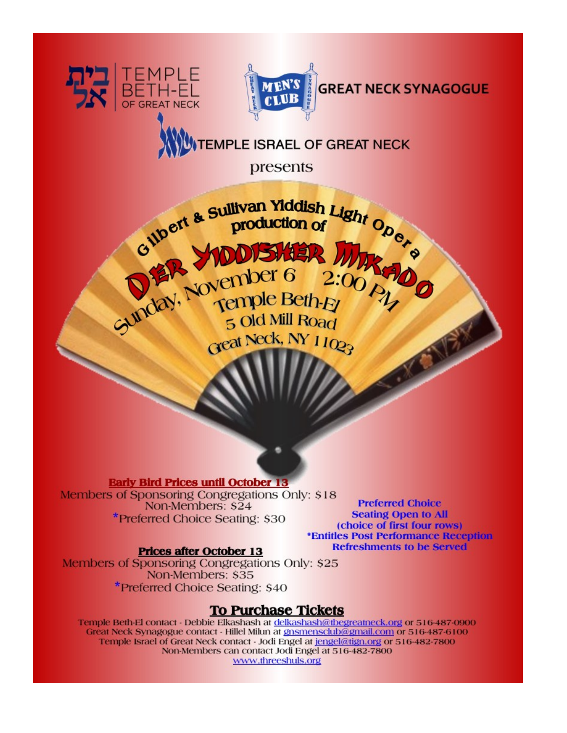



**EMPLE ISRAEL OF GREAT NECK** 

presents



**Early Bird Prices until October 13** 

Members of Sponsoring Congregations Only: \$18 Non-Members: \$24 \*Preferred Choice Seating: \$30

**Preferred Choice Seating Open to All** (choice of first four rows) \*Entitles Post Performance Reception **Refreshments to be Served** 

### **Prices after October 13**

Members of Sponsoring Congregations Only: \$25 Non-Members: \$35 \*Preferred Choice Seating: \$40

### **To Purchase Tickets**

Temple Beth-El contact - Debbie Elkashash at delkashash@tbegreatneck.org or 516-487-0900 Great Neck Synagogue contact - Hillel Milun at gnsmensclub@gmail.com or 516-487-6100 Temple Israel of Great Neck contact - Jodi Engel at jengel@tign.org or 516-482-7800 Non-Members can contact Jodi Engel at 516-482-7800 www.threeshuls.org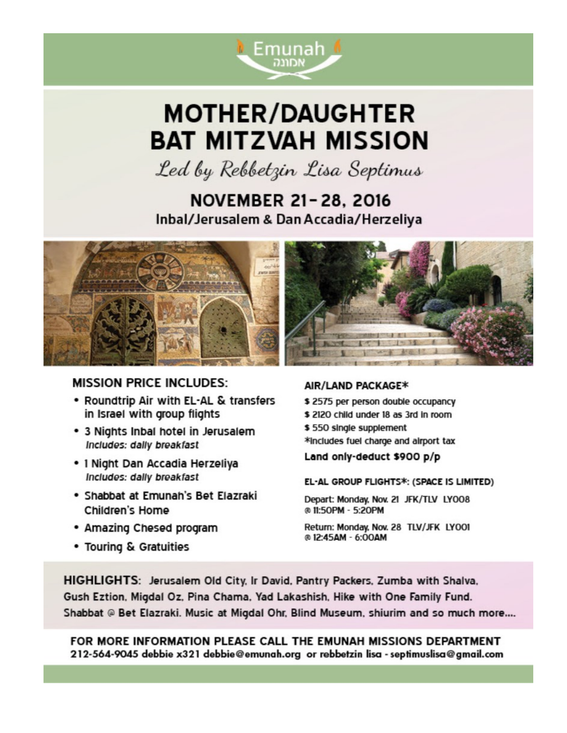

## **MOTHER/DAUGHTER BAT MITZVAH MISSION**

Led by Rebbetzin Lisa Septimus

### **NOVEMBER 21-28, 2016** Inbal/Jerusalem & Dan Accadia/Herzeliya



### **MISSION PRICE INCLUDES:**

- . Roundtrip Air with EL-AL & transfers in Israel with group flights
- . 3 Nights Inbal hotel in Jerusalem Includes: dally breakfast
- · 1 Night Dan Accadia Herzeliva Includes: dally breakfast
- · Shabbat at Emunah's Bet Elazraki Children's Home
- Amazing Chesed program
- Touring & Gratuities

### AIR/LAND PACKAGE\*

- \$2575 per person double occupancy
- \$2120 child under 18 as 3rd in room
- \$550 single supplement
- \*includes fuel charge and airport tax

Land only-deduct \$900 p/p

### EL-AL GROUP FLIGHTS\*: (SPACE IS LIMITED)

Depart: Monday, Nov. 21 JFK/TLV LY008 @ 11:50PM - 5:20PM

Return: Monday, Nov. 28 TLV/JFK LYO01 @12:45AM - 6:00AM

HIGHLIGHTS: Jerusalem Old City, Ir David, Pantry Packers, Zumba with Shalva, Gush Eztion, Migdal Oz, Pina Chama, Yad Lakashish, Hike with One Family Fund. Shabbat @ Bet Elazraki. Music at Migdal Ohr, Blind Museum, shiurim and so much more....

FOR MORE INFORMATION PLEASE CALL THE EMUNAH MISSIONS DEPARTMENT 212-564-9045 debbie x321 debbie@emunah.org or rebbetzin lisa - septimuslisa@gmail.com